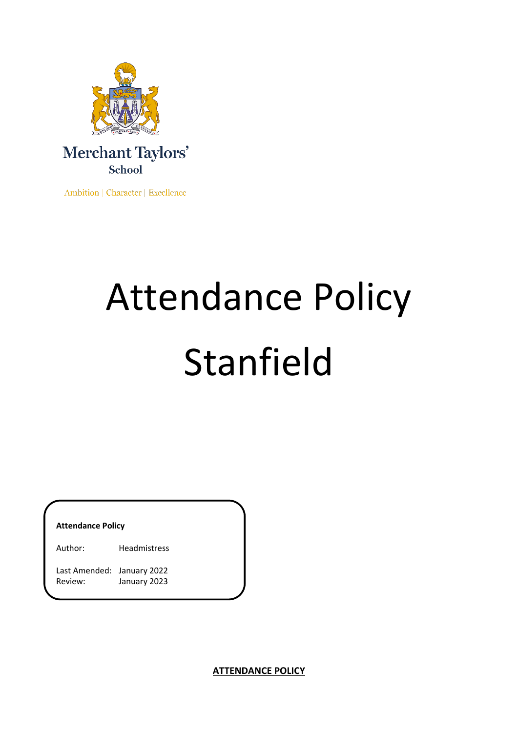

Ambition | Character | Excellence

# Attendance Policy Stanfield

**Attendance Policy**

Author: Headmistress

Last Amended: January 2022 Review: January 2023

**ATTENDANCE POLICY**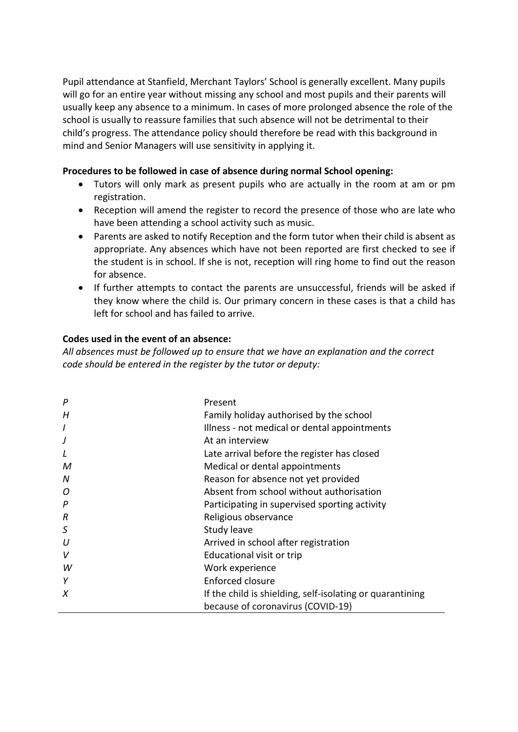Pupil attendance at Stanfield, Merchant Taylors' School is generally excellent. Many pupils will go for an entire year without missing any school and most pupils and their parents will usually keep any absence to a minimum. In cases of more prolonged absence the role of the school is usually to reassure families that such absence will not be detrimental to their child's progress. The attendance policy should therefore be read with this background in mind and Senior Managers will use sensitivity in applying it.

# **Procedures to be followed in case of absence during normal School opening:**

- Tutors will only mark as present pupils who are actually in the room at am or pm registration.
- Reception will amend the register to record the presence of those who are late who have been attending a school activity such as music.
- Parents are asked to notify Reception and the form tutor when their child is absent as appropriate. Any absences which have not been reported are first checked to see if the student is in school. If she is not, reception will ring home to find out the reason for absence.
- If further attempts to contact the parents are unsuccessful, friends will be asked if they know where the child is. Our primary concern in these cases is that a child has left for school and has failed to arrive.

# **Codes used in the event of an absence:**

*All absences must be followed up to ensure that we have an explanation and the correct code should be entered in the register by the tutor or deputy:* 

| P                | Present                                                   |
|------------------|-----------------------------------------------------------|
| H                | Family holiday authorised by the school                   |
| $\overline{I}$   | Illness - not medical or dental appointments              |
| J                | At an interview                                           |
| L                | Late arrival before the register has closed               |
| M                | Medical or dental appointments                            |
| N                | Reason for absence not yet provided                       |
| 0                | Absent from school without authorisation                  |
| $\boldsymbol{P}$ | Participating in supervised sporting activity             |
| $\boldsymbol{R}$ | Religious observance                                      |
| S                | Study leave                                               |
| U                | Arrived in school after registration                      |
| V                | Educational visit or trip                                 |
| W                | Work experience                                           |
| Y                | <b>Enforced closure</b>                                   |
| X                | If the child is shielding, self-isolating or quarantining |
|                  | because of coronavirus (COVID-19)                         |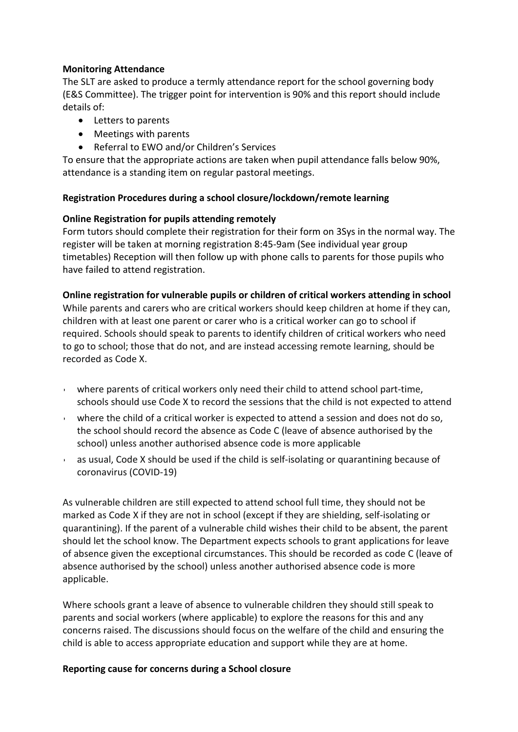# **Monitoring Attendance**

The SLT are asked to produce a termly attendance report for the school governing body (E&S Committee). The trigger point for intervention is 90% and this report should include details of:

- Letters to parents
- Meetings with parents
- Referral to EWO and/or Children's Services

To ensure that the appropriate actions are taken when pupil attendance falls below 90%, attendance is a standing item on regular pastoral meetings.

# **Registration Procedures during a school closure/lockdown/remote learning**

# **Online Registration for pupils attending remotely**

Form tutors should complete their registration for their form on 3Sys in the normal way. The register will be taken at morning registration 8:45-9am (See individual year group timetables) Reception will then follow up with phone calls to parents for those pupils who have failed to attend registration.

# **Online registration for vulnerable pupils or children of critical workers attending in school**

While parents and carers who are critical workers should keep children at home if they can, children with at least one parent or carer who is a critical worker can go to school if required. Schools should speak to parents to identify children of critical workers who need to go to school; those that do not, and are instead accessing remote learning, should be recorded as Code X.

- where parents of critical workers only need their child to attend school part-time, schools should use Code X to record the sessions that the child is not expected to attend
- where the child of a critical worker is expected to attend a session and does not do so, the school should record the absence as Code C (leave of absence authorised by the school) unless another authorised absence code is more applicable
- as usual, Code X should be used if the child is self-isolating or quarantining because of coronavirus (COVID-19)

As vulnerable children are still expected to attend school full time, they should not be marked as Code X if they are not in school (except if they are shielding, self-isolating or quarantining). If the parent of a vulnerable child wishes their child to be absent, the parent should let the school know. The Department expects schools to grant applications for leave of absence given the exceptional circumstances. This should be recorded as code C (leave of absence authorised by the school) unless another authorised absence code is more applicable.

Where schools grant a leave of absence to vulnerable children they should still speak to parents and social workers (where applicable) to explore the reasons for this and any concerns raised. The discussions should focus on the welfare of the child and ensuring the child is able to access appropriate education and support while they are at home.

### **Reporting cause for concerns during a School closure**